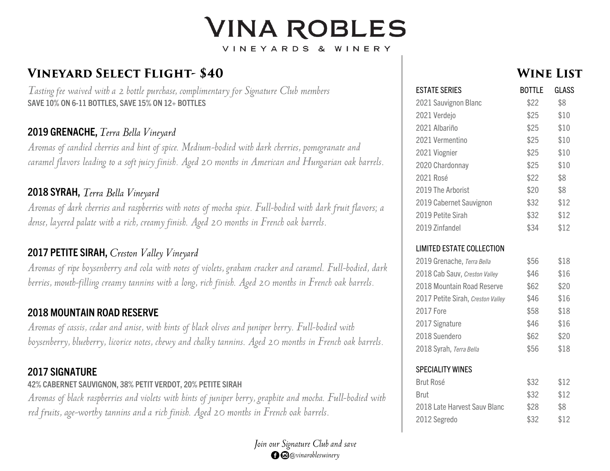# **VINA ROBLES**

VINEYARDS & WINERY

# **VINEYARD SELECT FLIGHT-\$40**

Tasting fee waived with a 2 bottle purchase, complimentary for Signature Club members **SAVE 10% ON 6 -11 BOTTLES, SAVE 15% ON 12+ BOTTLES**

## **2019 GRENACHE ,**

Aromas of candied cherries and hint of spice. Medium-bodied with dark cherries, pomegranate and caramel flavors leading to a soft juicy finish. Aged 20 months in American and Hungarian oak barrels.

## **2018 SYRAH ,**

Aromas of dark cherries and raspberries with notes of mocha spice. Full-bodied with dark fruit flavors; a dense, layered palate with a rich, creamy finish. Aged 20 months in French oak barrels.

## **2017 PETITE SIRAH,**

Aromas of ripe boysenberry and cola with notes of violets, graham cracker and caramel. Full-bodied, dark berries, mouth-filling creamy tannins with a long, rich finish. Aged 20 months in French oak barrels.

#### **2018 MOUNTAIN ROAD RESERVE**

Aromas of cassis, cedar and anise, with hints of black olives and juniper berry. Full-bodied with boysenberry, blueberry, licorice notes, chewy and chalky tannins. Aged 20 months in French oak barrels.

#### **2017 SIGNATURE**

#### **42% CABERNET SAUVIGNON, 38% PETIT VERDOT, 20% PETITE SIRAH**

Aromas of black raspberries and violets with hints of juniper berry, graphite and mocha. Full-bodied with red fruits, age-worthy tannins and a rich finish. Aged 20 months in French oak barrels.



## **WINE LIST**

| <b>ESTATE SERIES</b>              | <b>BOTTLE</b> | GLASS |  |
|-----------------------------------|---------------|-------|--|
| 2021 Sauvignon Blanc              | \$22          | \$8   |  |
| 2021 Verdejo                      | \$25          | \$10  |  |
| 2021 Albariño                     | \$25          | \$10  |  |
| 2021 Vermentino                   | \$25          | \$10  |  |
| 2021 Viognier                     | \$25          | \$10  |  |
| 2020 Chardonnay                   | \$25          | \$10  |  |
| 2021 Rosé                         | \$22          | \$8   |  |
| 2019 The Arborist                 | \$20          | \$8   |  |
| 2019 Cabernet Sauvignon           | \$32          | \$12  |  |
| 2019 Petite Sirah                 | \$32          | \$12  |  |
| 2019 Zinfandel                    | \$34          | \$12  |  |
| <b>LIMITED ESTATE COLLECTION</b>  |               |       |  |
| 2019 Grenache, Terra Bella        | \$56          | \$18  |  |
| 2018 Cab Sauv, Creston Valley     | \$46          | \$16  |  |
| 2018 Mountain Road Reserve        | \$62          | \$20  |  |
| 2017 Petite Sirah, Creston Valley | \$46          | \$16  |  |
| 2017 Fore                         | \$58          | \$18  |  |
| 2017 Signature                    | \$46          | \$16  |  |
| 2018 Suendero                     | \$62          | \$20  |  |
| 2018 Syrah, Terra Bella           | \$56          | \$18  |  |

#### SPECIALITY WINES

| Brut Rosé                    | \$32 | \$12 |
|------------------------------|------|------|
| Brut                         | \$32 | \$12 |
| 2018 Late Harvest Sauv Blanc | \$28 | \$8  |
| 2012 Segredo                 | \$32 | \$12 |